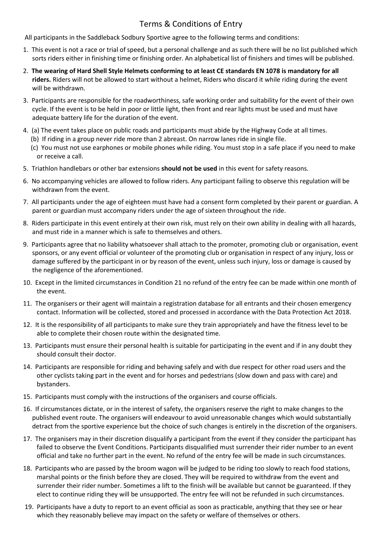## Terms & Conditions of Entry

All participants in the Saddleback Sodbury Sportive agree to the following terms and conditions:

- 1. This event is not a race or trial of speed, but a personal challenge and as such there will be no list published which sorts riders either in finishing time or finishing order. An alphabetical list of finishers and times will be published.
- 2. **The wearing of Hard Shell Style Helmets conforming to at least CE standards EN 1078 is mandatory for all riders.** Riders will not be allowed to start without a helmet, Riders who discard it while riding during the event will be withdrawn.
- 3. Participants are responsible for the roadworthiness, safe working order and suitability for the event of their own cycle. If the event is to be held in poor or little light, then front and rear lights must be used and must have adequate battery life for the duration of the event.
- 4. (a) The event takes place on public roads and participants must abide by the Highway Code at all times.
	- (b) If riding in a group never ride more than 2 abreast. On narrow lanes ride in single file.
	- (c) You must not use earphones or mobile phones while riding. You must stop in a safe place if you need to make or receive a call.
- 5. Triathlon handlebars or other bar extensions **should not be used** in this event for safety reasons.
- 6. No accompanying vehicles are allowed to follow riders. Any participant failing to observe this regulation will be withdrawn from the event.
- 7. All participants under the age of eighteen must have had a consent form completed by their parent or guardian. A parent or guardian must accompany riders under the age of sixteen throughout the ride.
- 8. Riders participate in this event entirely at their own risk, must rely on their own ability in dealing with all hazards, and must ride in a manner which is safe to themselves and others.
- 9. Participants agree that no liability whatsoever shall attach to the promoter, promoting club or organisation, event sponsors, or any event official or volunteer of the promoting club or organisation in respect of any injury, loss or damage suffered by the participant in or by reason of the event, unless such injury, loss or damage is caused by the negligence of the aforementioned.
- 10. Except in the limited circumstances in Condition 21 no refund of the entry fee can be made within one month of the event.
- 11. The organisers or their agent will maintain a registration database for all entrants and their chosen emergency contact. Information will be collected, stored and processed in accordance with the Data Protection Act 2018.
- 12. It is the responsibility of all participants to make sure they train appropriately and have the fitness level to be able to complete their chosen route within the designated time.
- 13. Participants must ensure their personal health is suitable for participating in the event and if in any doubt they should consult their doctor.
- 14. Participants are responsible for riding and behaving safely and with due respect for other road users and the other cyclists taking part in the event and for horses and pedestrians (slow down and pass with care) and bystanders.
- 15. Participants must comply with the instructions of the organisers and course officials.
- 16. If circumstances dictate, or in the interest of safety, the organisers reserve the right to make changes to the published event route. The organisers will endeavour to avoid unreasonable changes which would substantially detract from the sportive experience but the choice of such changes is entirely in the discretion of the organisers.
- 17. The organisers may in their discretion disqualify a participant from the event if they consider the participant has failed to observe the Event Conditions. Participants disqualified must surrender their rider number to an event official and take no further part in the event. No refund of the entry fee will be made in such circumstances.
- 18. Participants who are passed by the broom wagon will be judged to be riding too slowly to reach food stations, marshal points or the finish before they are closed. They will be required to withdraw from the event and surrender their rider number. Sometimes a lift to the finish will be available but cannot be guaranteed. If they elect to continue riding they will be unsupported. The entry fee will not be refunded in such circumstances.
- 19. Participants have a duty to report to an event official as soon as practicable, anything that they see or hear which they reasonably believe may impact on the safety or welfare of themselves or others.